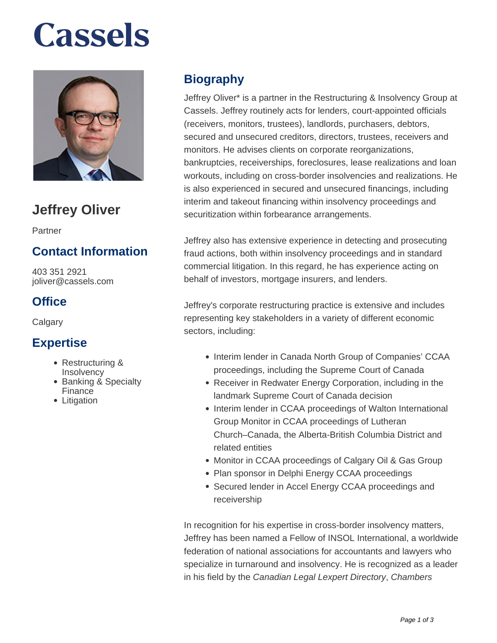# **Cassels**



## **Jeffrey Oliver**

Partner

### **Contact Information**

403 351 2921 joliver@cassels.com

### **Office**

**Calgary** 

#### **Expertise**

- Restructuring & Insolvency
- Banking & Specialty **Finance**
- Litigation

### **Biography**

Jeffrey Oliver\* is a partner in the Restructuring & Insolvency Group at Cassels. Jeffrey routinely acts for lenders, court-appointed officials (receivers, monitors, trustees), landlords, purchasers, debtors, secured and unsecured creditors, directors, trustees, receivers and monitors. He advises clients on corporate reorganizations, bankruptcies, receiverships, foreclosures, lease realizations and loan workouts, including on cross-border insolvencies and realizations. He is also experienced in secured and unsecured financings, including interim and takeout financing within insolvency proceedings and securitization within forbearance arrangements.

Jeffrey also has extensive experience in detecting and prosecuting fraud actions, both within insolvency proceedings and in standard commercial litigation. In this regard, he has experience acting on behalf of investors, mortgage insurers, and lenders.

Jeffrey's corporate restructuring practice is extensive and includes representing key stakeholders in a variety of different economic sectors, including:

- Interim lender in Canada North Group of Companies' CCAA proceedings, including the Supreme Court of Canada
- Receiver in Redwater Energy Corporation, including in the landmark Supreme Court of Canada decision
- Interim lender in CCAA proceedings of Walton International Group Monitor in CCAA proceedings of Lutheran Church–Canada, the Alberta-British Columbia District and related entities
- Monitor in CCAA proceedings of Calgary Oil & Gas Group
- Plan sponsor in Delphi Energy CCAA proceedings
- Secured lender in Accel Energy CCAA proceedings and receivership

In recognition for his expertise in cross-border insolvency matters, Jeffrey has been named a Fellow of INSOL International, a worldwide federation of national associations for accountants and lawyers who specialize in turnaround and insolvency. He is recognized as a leader in his field by the Canadian Legal Lexpert Directory, Chambers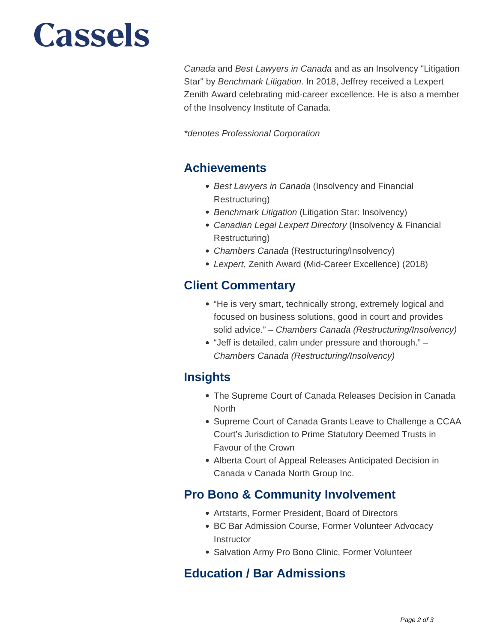# **Cassels**

Canada and Best Lawyers in Canada and as an Insolvency "Litigation Star" by Benchmark Litigation. In 2018, Jeffrey received a Lexpert Zenith Award celebrating mid-career excellence. He is also a member of the Insolvency Institute of Canada.

\*denotes Professional Corporation

#### **Achievements**

- Best Lawyers in Canada (Insolvency and Financial Restructuring)
- Benchmark Litigation (Litigation Star: Insolvency)
- Canadian Legal Lexpert Directory (Insolvency & Financial Restructuring)
- Chambers Canada (Restructuring/Insolvency)
- Lexpert, Zenith Award (Mid-Career Excellence) (2018)

#### **Client Commentary**

- "He is very smart, technically strong, extremely logical and focused on business solutions, good in court and provides solid advice." - Chambers Canada (Restructuring/Insolvency)
- "Jeff is detailed, calm under pressure and thorough." Chambers Canada (Restructuring/Insolvency)

#### **Insights**

- The Supreme Court of Canada Releases Decision in Canada North
- Supreme Court of Canada Grants Leave to Challenge a CCAA Court's Jurisdiction to Prime Statutory Deemed Trusts in Favour of the Crown
- Alberta Court of Appeal Releases Anticipated Decision in Canada v Canada North Group Inc.

#### **Pro Bono & Community Involvement**

- Artstarts, Former President, Board of Directors
- BC Bar Admission Course, Former Volunteer Advocacy **Instructor**
- Salvation Army Pro Bono Clinic, Former Volunteer

#### **Education / Bar Admissions**